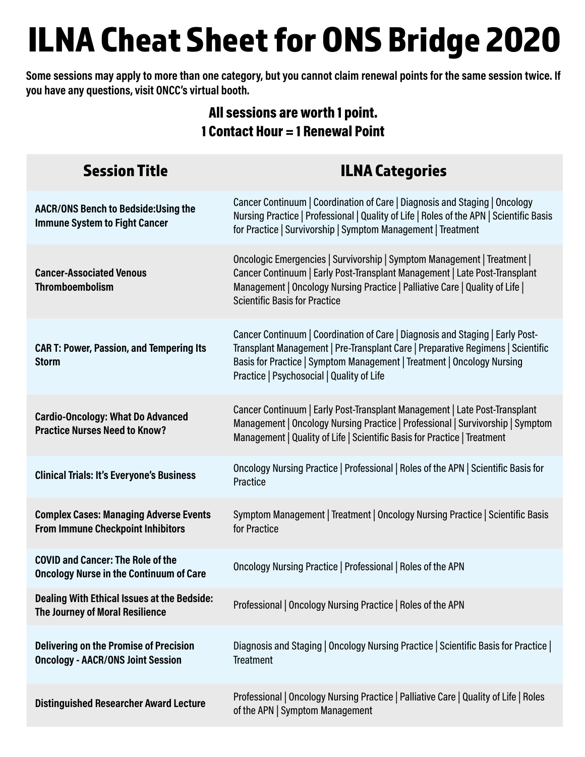## ILNA Cheat Sheet for ONS Bridge 2020

**Some sessions may apply to more than one category, but you cannot claim renewal points for the same session twice. If you have any questions, visit ONCC's virtual booth.**

## All sessions are worth 1 point. 1 Contact Hour = 1 Renewal Point

| <b>Session Title</b>                                                                       | <b>ILNA Categories</b>                                                                                                                                                                                                                                                                  |
|--------------------------------------------------------------------------------------------|-----------------------------------------------------------------------------------------------------------------------------------------------------------------------------------------------------------------------------------------------------------------------------------------|
| <b>AACR/ONS Bench to Bedside: Using the</b><br><b>Immune System to Fight Cancer</b>        | Cancer Continuum   Coordination of Care   Diagnosis and Staging   Oncology<br>Nursing Practice   Professional   Quality of Life   Roles of the APN   Scientific Basis<br>for Practice   Survivorship   Symptom Management   Treatment                                                   |
| <b>Cancer-Associated Venous</b><br><b>Thromboembolism</b>                                  | Oncologic Emergencies   Survivorship   Symptom Management   Treatment  <br>Cancer Continuum   Early Post-Transplant Management   Late Post-Transplant<br>Management   Oncology Nursing Practice   Palliative Care   Quality of Life  <br><b>Scientific Basis for Practice</b>           |
| <b>CAR T: Power, Passion, and Tempering Its</b><br><b>Storm</b>                            | Cancer Continuum   Coordination of Care   Diagnosis and Staging   Early Post-<br>Transplant Management   Pre-Transplant Care   Preparative Regimens   Scientific<br>Basis for Practice   Symptom Management   Treatment   Oncology Nursing<br>Practice   Psychosocial   Quality of Life |
| <b>Cardio-Oncology: What Do Advanced</b><br><b>Practice Nurses Need to Know?</b>           | Cancer Continuum   Early Post-Transplant Management   Late Post-Transplant<br>Management   Oncology Nursing Practice   Professional   Survivorship   Symptom<br>Management   Quality of Life   Scientific Basis for Practice   Treatment                                                |
| <b>Clinical Trials: It's Everyone's Business</b>                                           | Oncology Nursing Practice   Professional   Roles of the APN   Scientific Basis for<br>Practice                                                                                                                                                                                          |
| <b>Complex Cases: Managing Adverse Events</b><br><b>From Immune Checkpoint Inhibitors</b>  | Symptom Management   Treatment   Oncology Nursing Practice   Scientific Basis<br>for Practice                                                                                                                                                                                           |
| <b>COVID and Cancer: The Role of the</b><br><b>Oncology Nurse in the Continuum of Care</b> | Oncology Nursing Practice   Professional   Roles of the APN                                                                                                                                                                                                                             |
| <b>Dealing With Ethical Issues at the Bedside:</b><br>The Journey of Moral Resilience      | Professional   Oncology Nursing Practice   Roles of the APN                                                                                                                                                                                                                             |
| <b>Delivering on the Promise of Precision</b><br><b>Oncology - AACR/ONS Joint Session</b>  | Diagnosis and Staging   Oncology Nursing Practice   Scientific Basis for Practice  <br><b>Treatment</b>                                                                                                                                                                                 |
| <b>Distinguished Researcher Award Lecture</b>                                              | Professional   Oncology Nursing Practice   Palliative Care   Quality of Life   Roles<br>of the APN   Symptom Management                                                                                                                                                                 |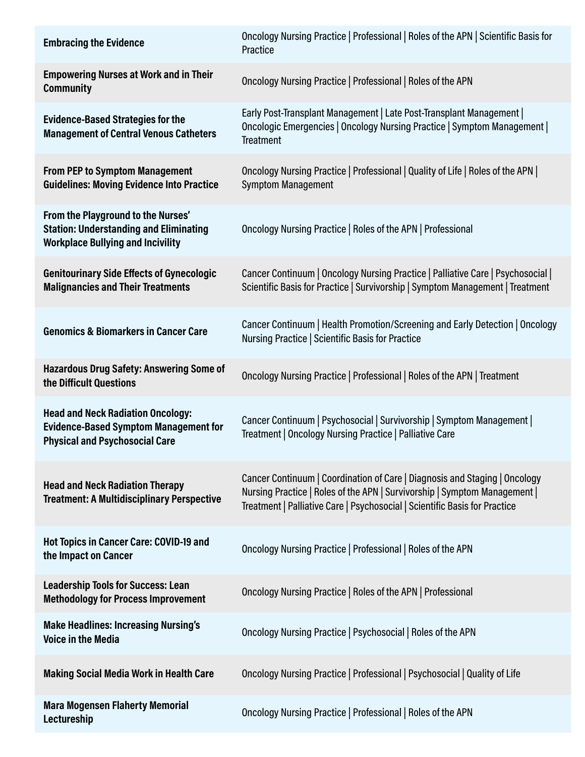| <b>Embracing the Evidence</b>                                                                                                     | Oncology Nursing Practice   Professional   Roles of the APN   Scientific Basis for<br>Practice                                                                                                                                        |
|-----------------------------------------------------------------------------------------------------------------------------------|---------------------------------------------------------------------------------------------------------------------------------------------------------------------------------------------------------------------------------------|
| <b>Empowering Nurses at Work and in Their</b><br><b>Community</b>                                                                 | Oncology Nursing Practice   Professional   Roles of the APN                                                                                                                                                                           |
| <b>Evidence-Based Strategies for the</b><br><b>Management of Central Venous Catheters</b>                                         | Early Post-Transplant Management   Late Post-Transplant Management  <br>Oncologic Emergencies   Oncology Nursing Practice   Symptom Management  <br><b>Treatment</b>                                                                  |
| <b>From PEP to Symptom Management</b><br><b>Guidelines: Moving Evidence Into Practice</b>                                         | Oncology Nursing Practice   Professional   Quality of Life   Roles of the APN  <br><b>Symptom Management</b>                                                                                                                          |
| From the Playground to the Nurses'<br><b>Station: Understanding and Eliminating</b><br><b>Workplace Bullying and Incivility</b>   | Oncology Nursing Practice   Roles of the APN   Professional                                                                                                                                                                           |
| <b>Genitourinary Side Effects of Gynecologic</b><br><b>Malignancies and Their Treatments</b>                                      | Cancer Continuum   Oncology Nursing Practice   Palliative Care   Psychosocial  <br>Scientific Basis for Practice   Survivorship   Symptom Management   Treatment                                                                      |
| <b>Genomics &amp; Biomarkers in Cancer Care</b>                                                                                   | Cancer Continuum   Health Promotion/Screening and Early Detection   Oncology<br>Nursing Practice   Scientific Basis for Practice                                                                                                      |
| Hazardous Drug Safety: Answering Some of<br>the Difficult Questions                                                               | Oncology Nursing Practice   Professional   Roles of the APN   Treatment                                                                                                                                                               |
| <b>Head and Neck Radiation Oncology:</b><br><b>Evidence-Based Symptom Management for</b><br><b>Physical and Psychosocial Care</b> | Cancer Continuum   Psychosocial   Survivorship   Symptom Management  <br>Treatment   Oncology Nursing Practice   Palliative Care                                                                                                      |
| <b>Head and Neck Radiation Therapy</b><br><b>Treatment: A Multidisciplinary Perspective</b>                                       | Cancer Continuum   Coordination of Care   Diagnosis and Staging   Oncology<br>Nursing Practice   Roles of the APN   Survivorship   Symptom Management  <br>Treatment   Palliative Care   Psychosocial   Scientific Basis for Practice |
| Hot Topics in Cancer Care: COVID-19 and<br>the Impact on Cancer                                                                   | Oncology Nursing Practice   Professional   Roles of the APN                                                                                                                                                                           |
| <b>Leadership Tools for Success: Lean</b><br><b>Methodology for Process Improvement</b>                                           | Oncology Nursing Practice   Roles of the APN   Professional                                                                                                                                                                           |
| <b>Make Headlines: Increasing Nursing's</b><br><b>Voice in the Media</b>                                                          | Oncology Nursing Practice   Psychosocial   Roles of the APN                                                                                                                                                                           |
| <b>Making Social Media Work in Health Care</b>                                                                                    | Oncology Nursing Practice   Professional   Psychosocial   Quality of Life                                                                                                                                                             |
| <b>Mara Mogensen Flaherty Memorial</b><br>Lectureship                                                                             | Oncology Nursing Practice   Professional   Roles of the APN                                                                                                                                                                           |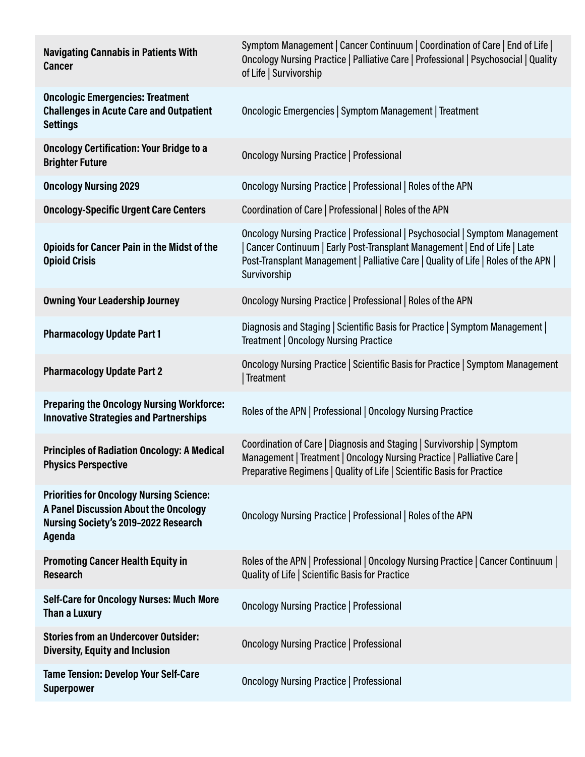| <b>Navigating Cannabis in Patients With</b><br><b>Cancer</b>                                                                               | Symptom Management   Cancer Continuum   Coordination of Care   End of Life  <br>Oncology Nursing Practice   Palliative Care   Professional   Psychosocial   Quality<br>of Life   Survivorship                                                                   |
|--------------------------------------------------------------------------------------------------------------------------------------------|-----------------------------------------------------------------------------------------------------------------------------------------------------------------------------------------------------------------------------------------------------------------|
| <b>Oncologic Emergencies: Treatment</b><br><b>Challenges in Acute Care and Outpatient</b><br><b>Settings</b>                               | Oncologic Emergencies   Symptom Management   Treatment                                                                                                                                                                                                          |
| <b>Oncology Certification: Your Bridge to a</b><br><b>Brighter Future</b>                                                                  | <b>Oncology Nursing Practice   Professional</b>                                                                                                                                                                                                                 |
| <b>Oncology Nursing 2029</b>                                                                                                               | Oncology Nursing Practice   Professional   Roles of the APN                                                                                                                                                                                                     |
| <b>Oncology-Specific Urgent Care Centers</b>                                                                                               | Coordination of Care   Professional   Roles of the APN                                                                                                                                                                                                          |
| <b>Opioids for Cancer Pain in the Midst of the</b><br><b>Opioid Crisis</b>                                                                 | Oncology Nursing Practice   Professional   Psychosocial   Symptom Management<br>Cancer Continuum   Early Post-Transplant Management   End of Life   Late<br>Post-Transplant Management   Palliative Care   Quality of Life   Roles of the APN  <br>Survivorship |
| <b>Owning Your Leadership Journey</b>                                                                                                      | Oncology Nursing Practice   Professional   Roles of the APN                                                                                                                                                                                                     |
| <b>Pharmacology Update Part 1</b>                                                                                                          | Diagnosis and Staging   Scientific Basis for Practice   Symptom Management  <br>Treatment   Oncology Nursing Practice                                                                                                                                           |
| <b>Pharmacology Update Part 2</b>                                                                                                          | Oncology Nursing Practice   Scientific Basis for Practice   Symptom Management<br>Treatment                                                                                                                                                                     |
| <b>Preparing the Oncology Nursing Workforce:</b><br><b>Innovative Strategies and Partnerships</b>                                          | Roles of the APN   Professional   Oncology Nursing Practice                                                                                                                                                                                                     |
| <b>Principles of Radiation Oncology: A Medical</b><br><b>Physics Perspective</b>                                                           | Coordination of Care   Diagnosis and Staging   Survivorship   Symptom<br>Management   Treatment   Oncology Nursing Practice   Palliative Care  <br>Preparative Regimens   Quality of Life   Scientific Basis for Practice                                       |
| <b>Priorities for Oncology Nursing Science:</b><br>A Panel Discussion About the Oncology<br>Nursing Society's 2019-2022 Research<br>Agenda | Oncology Nursing Practice   Professional   Roles of the APN                                                                                                                                                                                                     |
| <b>Promoting Cancer Health Equity in</b><br><b>Research</b>                                                                                | Roles of the APN   Professional   Oncology Nursing Practice   Cancer Continuum  <br>Quality of Life   Scientific Basis for Practice                                                                                                                             |
| <b>Self-Care for Oncology Nurses: Much More</b><br>Than a Luxury                                                                           | <b>Oncology Nursing Practice   Professional</b>                                                                                                                                                                                                                 |
| <b>Stories from an Undercover Outsider:</b><br><b>Diversity, Equity and Inclusion</b>                                                      | <b>Oncology Nursing Practice   Professional</b>                                                                                                                                                                                                                 |
| <b>Tame Tension: Develop Your Self-Care</b><br><b>Superpower</b>                                                                           | <b>Oncology Nursing Practice   Professional</b>                                                                                                                                                                                                                 |